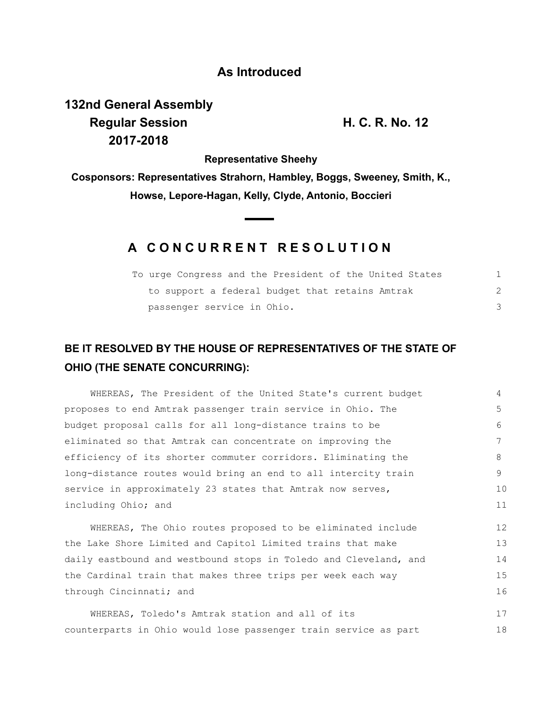### **As Introduced**

# **132nd General Assembly Regular Session H. C. R. No. 12 2017-2018**

15 16

**Representative Sheehy**

**Cosponsors: Representatives Strahorn, Hambley, Boggs, Sweeney, Smith, K., Howse, Lepore-Hagan, Kelly, Clyde, Antonio, Boccieri**

## **A C O N C U R R E N T R E S O L U T I O N**

| To urge Congress and the President of the United States |  |
|---------------------------------------------------------|--|
| to support a federal budget that retains Amtrak         |  |
| passenger service in Ohio.                              |  |

## **BE IT RESOLVED BY THE HOUSE OF REPRESENTATIVES OF THE STATE OF OHIO (THE SENATE CONCURRING):**

| WHEREAS, The President of the United State's current budget      | $\overline{4}$ |
|------------------------------------------------------------------|----------------|
| proposes to end Amtrak passenger train service in Ohio. The      | 5              |
| budget proposal calls for all long-distance trains to be         | 6              |
| eliminated so that Amtrak can concentrate on improving the       |                |
| efficiency of its shorter commuter corridors. Eliminating the    | 8              |
| long-distance routes would bring an end to all intercity train   | 9              |
| service in approximately 23 states that Amtrak now serves,       | 10             |
| including Ohio; and                                              | 11             |
| WHEREAS, The Ohio routes proposed to be eliminated include       | 12             |
| the Lake Shore Limited and Capitol Limited trains that make      | 13             |
| daily eastbound and westbound stops in Toledo and Cleveland, and | 14             |

daily eastbound and westbound stops in Toledo and Cleveland, and the Cardinal train that makes three trips per week each way through Cincinnati; and

WHEREAS, Toledo's Amtrak station and all of its counterparts in Ohio would lose passenger train service as part 17 18